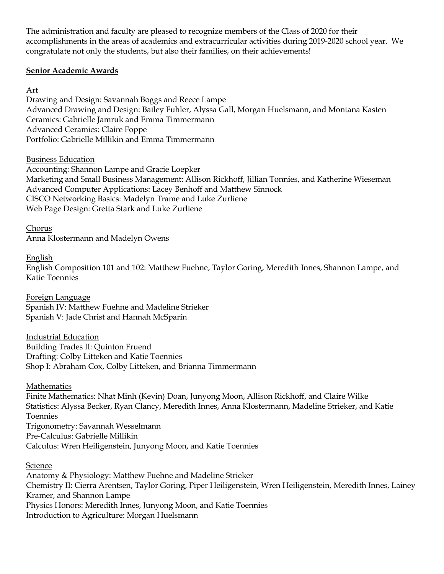The administration and faculty are pleased to recognize members of the Class of 2020 for their accomplishments in the areas of academics and extracurricular activities during 2019-2020 school year. We congratulate not only the students, but also their families, on their achievements!

# **Senior Academic Awards**

Art

Drawing and Design: Savannah Boggs and Reece Lampe Advanced Drawing and Design: Bailey Fuhler, Alyssa Gall, Morgan Huelsmann, and Montana Kasten Ceramics: Gabrielle Jamruk and Emma Timmermann Advanced Ceramics: Claire Foppe Portfolio: Gabrielle Millikin and Emma Timmermann

Business Education

Accounting: Shannon Lampe and Gracie Loepker Marketing and Small Business Management: Allison Rickhoff, Jillian Tonnies, and Katherine Wieseman Advanced Computer Applications: Lacey Benhoff and Matthew Sinnock CISCO Networking Basics: Madelyn Trame and Luke Zurliene Web Page Design: Gretta Stark and Luke Zurliene

Chorus

Anna Klostermann and Madelyn Owens

English

English Composition 101 and 102: Matthew Fuehne, Taylor Goring, Meredith Innes, Shannon Lampe, and Katie Toennies

Foreign Language Spanish IV: Matthew Fuehne and Madeline Strieker Spanish V: Jade Christ and Hannah McSparin

Industrial Education Building Trades II: Quinton Fruend Drafting: Colby Litteken and Katie Toennies Shop I: Abraham Cox, Colby Litteken, and Brianna Timmermann

**Mathematics** Finite Mathematics: Nhat Minh (Kevin) Doan, Junyong Moon, Allison Rickhoff, and Claire Wilke Statistics: Alyssa Becker, Ryan Clancy, Meredith Innes, Anna Klostermann, Madeline Strieker, and Katie Toennies Trigonometry: Savannah Wesselmann Pre-Calculus: Gabrielle Millikin Calculus: Wren Heiligenstein, Junyong Moon, and Katie Toennies

**Science** 

Anatomy & Physiology: Matthew Fuehne and Madeline Strieker Chemistry II: Cierra Arentsen, Taylor Goring, Piper Heiligenstein, Wren Heiligenstein, Meredith Innes, Lainey Kramer, and Shannon Lampe Physics Honors: Meredith Innes, Junyong Moon, and Katie Toennies Introduction to Agriculture: Morgan Huelsmann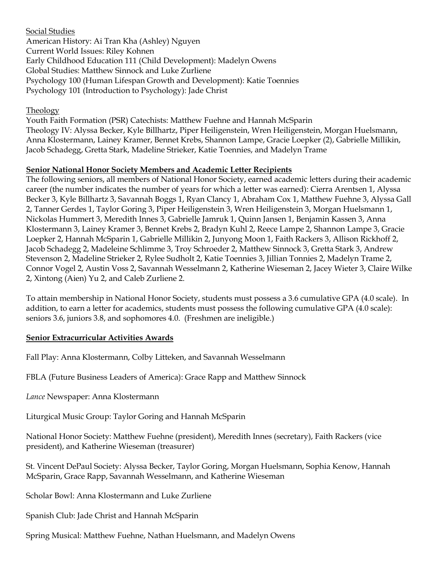Social Studies American History: Ai Tran Kha (Ashley) Nguyen Current World Issues: Riley Kohnen Early Childhood Education 111 (Child Development): Madelyn Owens Global Studies: Matthew Sinnock and Luke Zurliene Psychology 100 (Human Lifespan Growth and Development): Katie Toennies Psychology 101 (Introduction to Psychology): Jade Christ

### **Theology**

Youth Faith Formation (PSR) Catechists: Matthew Fuehne and Hannah McSparin Theology IV: Alyssa Becker, Kyle Billhartz, Piper Heiligenstein, Wren Heiligenstein, Morgan Huelsmann, Anna Klostermann, Lainey Kramer, Bennet Krebs, Shannon Lampe, Gracie Loepker (2), Gabrielle Millikin, Jacob Schadegg, Gretta Stark, Madeline Strieker, Katie Toennies, and Madelyn Trame

# **Senior National Honor Society Members and Academic Letter Recipients**

The following seniors, all members of National Honor Society, earned academic letters during their academic career (the number indicates the number of years for which a letter was earned): Cierra Arentsen 1, Alyssa Becker 3, Kyle Billhartz 3, Savannah Boggs 1, Ryan Clancy 1, Abraham Cox 1, Matthew Fuehne 3, Alyssa Gall 2, Tanner Gerdes 1, Taylor Goring 3, Piper Heiligenstein 3, Wren Heiligenstein 3, Morgan Huelsmann 1, Nickolas Hummert 3, Meredith Innes 3, Gabrielle Jamruk 1, Quinn Jansen 1, Benjamin Kassen 3, Anna Klostermann 3, Lainey Kramer 3, Bennet Krebs 2, Bradyn Kuhl 2, Reece Lampe 2, Shannon Lampe 3, Gracie Loepker 2, Hannah McSparin 1, Gabrielle Millikin 2, Junyong Moon 1, Faith Rackers 3, Allison Rickhoff 2, Jacob Schadegg 2, Madeleine Schlimme 3, Troy Schroeder 2, Matthew Sinnock 3, Gretta Stark 3, Andrew Stevenson 2, Madeline Strieker 2, Rylee Sudholt 2, Katie Toennies 3, Jillian Tonnies 2, Madelyn Trame 2, Connor Vogel 2, Austin Voss 2, Savannah Wesselmann 2, Katherine Wieseman 2, Jacey Wieter 3, Claire Wilke 2, Xintong (Aien) Yu 2, and Caleb Zurliene 2.

To attain membership in National Honor Society, students must possess a 3.6 cumulative GPA (4.0 scale). In addition, to earn a letter for academics, students must possess the following cumulative GPA (4.0 scale): seniors 3.6, juniors 3.8, and sophomores 4.0. (Freshmen are ineligible.)

# **Senior Extracurricular Activities Awards**

Fall Play: Anna Klostermann, Colby Litteken, and Savannah Wesselmann

FBLA (Future Business Leaders of America): Grace Rapp and Matthew Sinnock

*Lance* Newspaper: Anna Klostermann

Liturgical Music Group: Taylor Goring and Hannah McSparin

National Honor Society: Matthew Fuehne (president), Meredith Innes (secretary), Faith Rackers (vice president), and Katherine Wieseman (treasurer)

St. Vincent DePaul Society: Alyssa Becker, Taylor Goring, Morgan Huelsmann, Sophia Kenow, Hannah McSparin, Grace Rapp, Savannah Wesselmann, and Katherine Wieseman

Scholar Bowl: Anna Klostermann and Luke Zurliene

Spanish Club: Jade Christ and Hannah McSparin

Spring Musical: Matthew Fuehne, Nathan Huelsmann, and Madelyn Owens